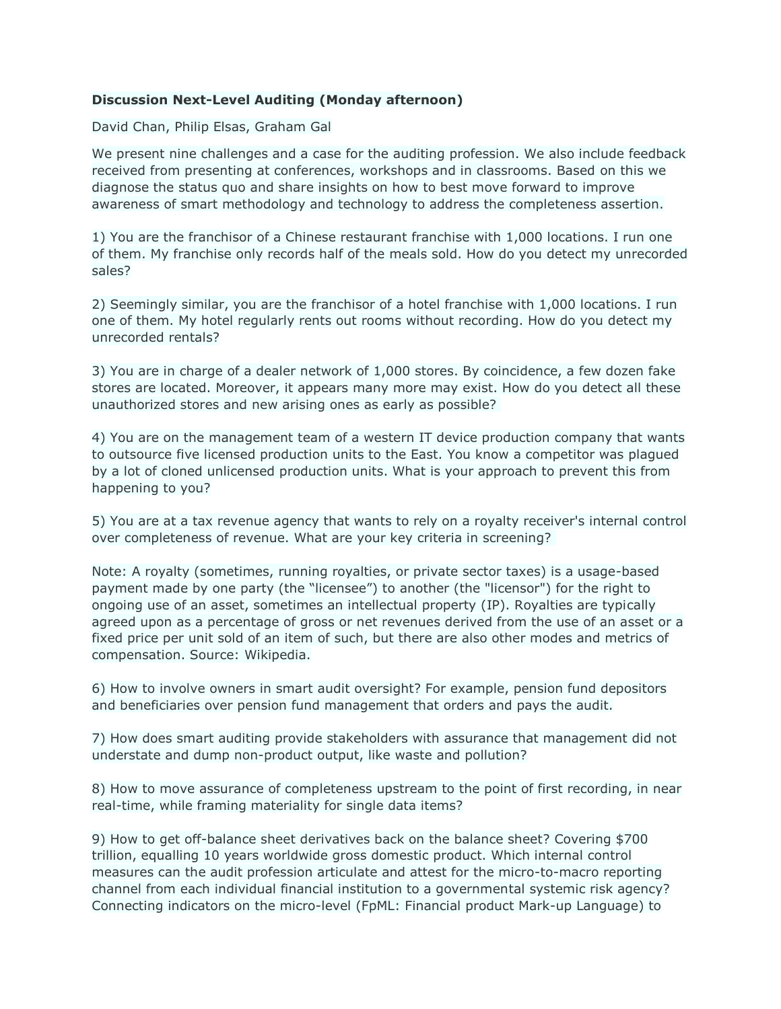## **Discussion Next-Level Auditing (Monday afternoon)**

David Chan, Philip Elsas, Graham Gal

We present nine challenges and a case for the auditing profession. We also include feedback received from presenting at conferences, workshops and in classrooms. Based on this we diagnose the status quo and share insights on how to best move forward to improve awareness of smart methodology and technology to address the completeness assertion.

1) You are the franchisor of a Chinese restaurant franchise with 1,000 locations. I run one of them. My franchise only records half of the meals sold. How do you detect my unrecorded sales?

2) Seemingly similar, you are the franchisor of a hotel franchise with 1,000 locations. I run one of them. My hotel regularly rents out rooms without recording. How do you detect my unrecorded rentals?

3) You are in charge of a dealer network of 1,000 stores. By coincidence, a few dozen fake stores are located. Moreover, it appears many more may exist. How do you detect all these unauthorized stores and new arising ones as early as possible?

4) You are on the management team of a western IT device production company that wants to outsource five licensed production units to the East. You know a competitor was plagued by a lot of cloned unlicensed production units. What is your approach to prevent this from happening to you?

5) You are at a tax revenue agency that wants to rely on a royalty receiver's internal control over completeness of revenue. What are your key criteria in screening?

Note: A royalty (sometimes, running royalties, or private sector taxes) is a usage-based payment made by one party (the "licensee") to another (the "licensor") for the right to ongoing use of an asset, sometimes an intellectual property (IP). Royalties are typically agreed upon as a percentage of gross or net revenues derived from the use of an asset or a fixed price per unit sold of an item of such, but there are also other modes and metrics of compensation. Source: Wikipedia.

6) How to involve owners in smart audit oversight? For example, pension fund depositors and beneficiaries over pension fund management that orders and pays the audit.

7) How does smart auditing provide stakeholders with assurance that management did not understate and dump non-product output, like waste and pollution?

8) How to move assurance of completeness upstream to the point of first recording, in near real-time, while framing materiality for single data items?

9) How to get off-balance sheet derivatives back on the balance sheet? Covering \$700 trillion, equalling 10 years worldwide gross domestic product. Which internal control measures can the audit profession articulate and attest for the micro-to-macro reporting channel from each individual financial institution to a governmental systemic risk agency? Connecting indicators on the micro-level (FpML: Financial product Mark-up Language) to